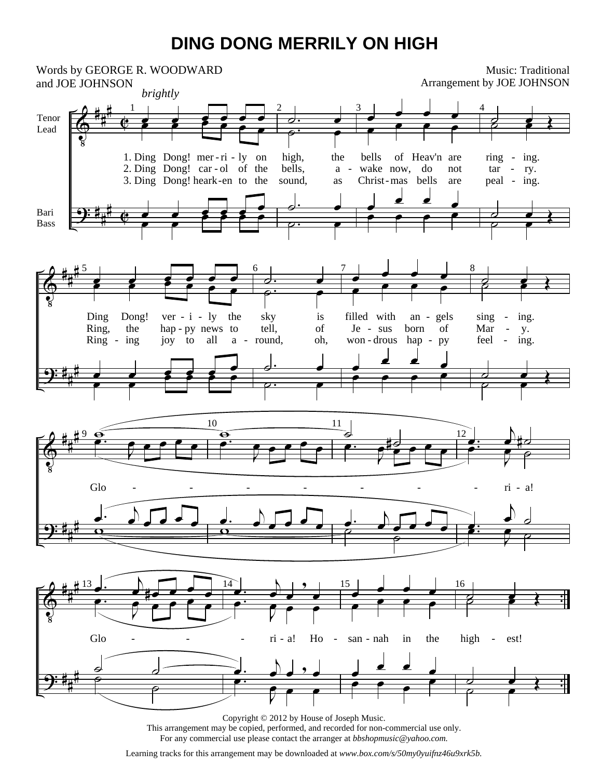## **DING DONG MERRILY ON HIGH**



This arrangement may be copied, performed, and recorded for non-commercial use only. For any commercial use please contact the arranger at *bbshopmusic@yahoo.com.*

Learning tracks for this arrangement may be downloaded at *www.box.com/s/50my0yuifnz46u9xrk5b.*